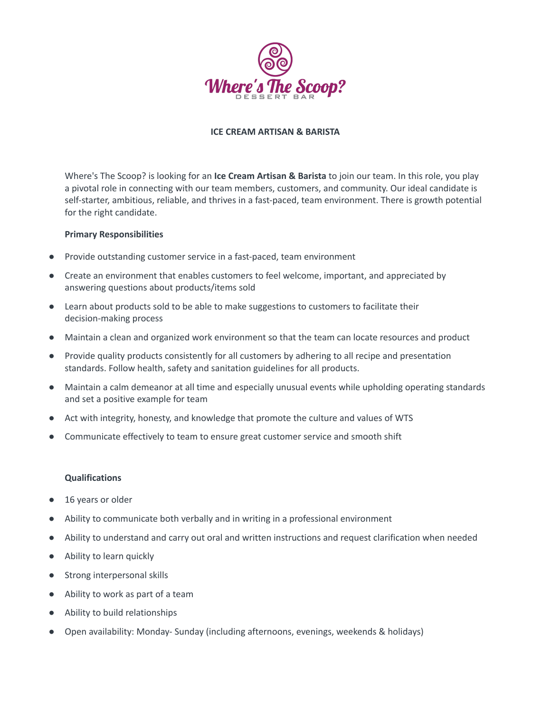

## **ICE CREAM ARTISAN & BARISTA**

Where's The Scoop? is looking for an **Ice Cream Artisan & Barista** to join our team. In this role, you play a pivotal role in connecting with our team members, customers, and community. Our ideal candidate is self-starter, ambitious, reliable, and thrives in a fast-paced, team environment. There is growth potential for the right candidate.

### **Primary Responsibilities**

- Provide outstanding customer service in a fast-paced, team environment
- Create an environment that enables customers to feel welcome, important, and appreciated by answering questions about products/items sold
- Learn about products sold to be able to make suggestions to customers to facilitate their decision-making process
- Maintain a clean and organized work environment so that the team can locate resources and product
- Provide quality products consistently for all customers by adhering to all recipe and presentation standards. Follow health, safety and sanitation guidelines for all products.
- Maintain a calm demeanor at all time and especially unusual events while upholding operating standards and set a positive example for team
- Act with integrity, honesty, and knowledge that promote the culture and values of WTS
- Communicate effectively to team to ensure great customer service and smooth shift

#### **Qualifications**

- 16 years or older
- Ability to communicate both verbally and in writing in a professional environment
- Ability to understand and carry out oral and written instructions and request clarification when needed
- Ability to learn quickly
- Strong interpersonal skills
- Ability to work as part of a team
- Ability to build relationships
- Open availability: Monday- Sunday (including afternoons, evenings, weekends & holidays)